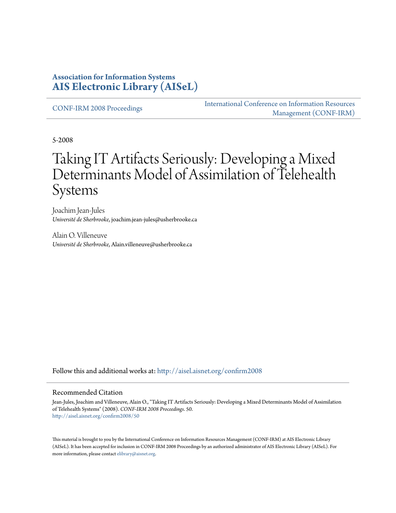#### **Association for Information Systems [AIS Electronic Library \(AISeL\)](http://aisel.aisnet.org?utm_source=aisel.aisnet.org%2Fconfirm2008%2F50&utm_medium=PDF&utm_campaign=PDFCoverPages)**

[CONF-IRM 2008 Proceedings](http://aisel.aisnet.org/confirm2008?utm_source=aisel.aisnet.org%2Fconfirm2008%2F50&utm_medium=PDF&utm_campaign=PDFCoverPages)

[International Conference on Information Resources](http://aisel.aisnet.org/conf-irm?utm_source=aisel.aisnet.org%2Fconfirm2008%2F50&utm_medium=PDF&utm_campaign=PDFCoverPages) [Management \(CONF-IRM\)](http://aisel.aisnet.org/conf-irm?utm_source=aisel.aisnet.org%2Fconfirm2008%2F50&utm_medium=PDF&utm_campaign=PDFCoverPages)

5-2008

# Taking IT Artifacts Seriously: Developing a Mixed Determinants Model of Assimilation of Telehealth Systems

Joachim Jean-Jules *Université de Sherbrooke*, joachim.jean-jules@usherbrooke.ca

Alain O. Villeneuve *Université de Sherbrooke*, Alain.villeneuve@usherbrooke.ca

Follow this and additional works at: [http://aisel.aisnet.org/confirm2008](http://aisel.aisnet.org/confirm2008?utm_source=aisel.aisnet.org%2Fconfirm2008%2F50&utm_medium=PDF&utm_campaign=PDFCoverPages)

#### Recommended Citation

Jean-Jules, Joachim and Villeneuve, Alain O., "Taking IT Artifacts Seriously: Developing a Mixed Determinants Model of Assimilation of Telehealth Systems" (2008). *CONF-IRM 2008 Proceedings*. 50. [http://aisel.aisnet.org/confirm2008/50](http://aisel.aisnet.org/confirm2008/50?utm_source=aisel.aisnet.org%2Fconfirm2008%2F50&utm_medium=PDF&utm_campaign=PDFCoverPages)

This material is brought to you by the International Conference on Information Resources Management (CONF-IRM) at AIS Electronic Library (AISeL). It has been accepted for inclusion in CONF-IRM 2008 Proceedings by an authorized administrator of AIS Electronic Library (AISeL). For more information, please contact [elibrary@aisnet.org.](mailto:elibrary@aisnet.org%3E)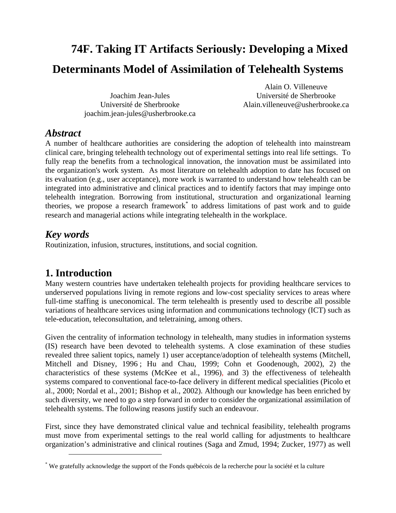# **74F. Taking IT Artifacts Seriously: Developing a Mixed Determinants Model of Assimilation of Telehealth Systems**

Joachim Jean-Jules Université de Sherbrooke joachim.jean-jules@usherbrooke.ca

Alain O. Villeneuve Université de Sherbrooke Alain.villeneuve@usherbrooke.ca

### *Abstract*

A number of healthcare authorities are considering the adoption of telehealth into mainstream clinical care, bringing telehealth technology out of experimental settings into real life settings. To fully reap the benefits from a technological innovation, the innovation must be assimilated into the organization's work system. As most literature on telehealth adoption to date has focused on its evaluation (e.g., user acceptance), more work is warranted to understand how telehealth can be integrated into administrative and clinical practices and to identify factors that may impinge onto telehealth integration. Borrowing from institutional, structuration and organizational learning theories, we propose a research framework<sup>\*</sup> to address limitations of past work and to guide research and managerial actions while integrating telehealth in the workplace.

## *Key words*

Routinization, infusion, structures, institutions, and social cognition.

## **1. Introduction**

<u>.</u>

Many western countries have undertaken telehealth projects for providing healthcare services to underserved populations living in remote regions and low-cost speciality services to areas where full-time staffing is uneconomical. The term telehealth is presently used to describe all possible variations of healthcare services using information and communications technology (ICT) such as tele-education, teleconsultation, and teletraining, among others.

Given the centrality of information technology in telehealth, many studies in information systems (IS) research have been devoted to telehealth systems. A close examination of these studies revealed three salient topics, namely 1) user acceptance/adoption of telehealth systems (Mitchell, Mitchell and Disney, 1996 ; Hu and Chau, 1999; Cohn et Goodenough, 2002), 2) the characteristics of these systems (McKee et al., 1996), and 3) the effectiveness of telehealth systems compared to conventional face-to-face delivery in different medical specialities (Picolo et al., 2000; Nordal et al., 2001; Bishop et al., 2002). Although our knowledge has been enriched by such diversity, we need to go a step forward in order to consider the organizational assimilation of telehealth systems. The following reasons justify such an endeavour.

First, since they have demonstrated clinical value and technical feasibility, telehealth programs must move from experimental settings to the real world calling for adjustments to healthcare organization's administrative and clinical routines (Saga and Zmud, 1994; Zucker, 1977) as well

<sup>\*</sup> We gratefully acknowledge the support of the Fonds québécois de la recherche pour la société et la culture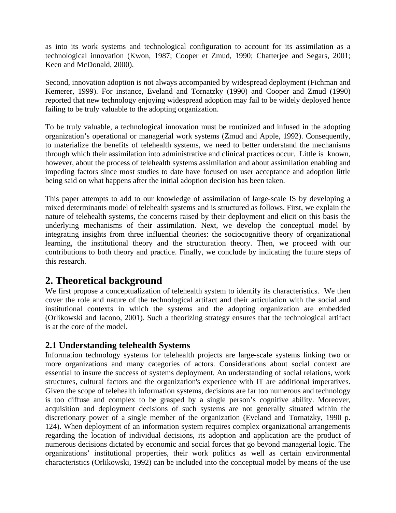as into its work systems and technological configuration to account for its assimilation as a technological innovation (Kwon, 1987; Cooper et Zmud, 1990; Chatterjee and Segars, 2001; Keen and McDonald, 2000).

Second, innovation adoption is not always accompanied by widespread deployment (Fichman and Kemerer, 1999). For instance, Eveland and Tornatzky (1990) and Cooper and Zmud (1990) reported that new technology enjoying widespread adoption may fail to be widely deployed hence failing to be truly valuable to the adopting organization.

To be truly valuable, a technological innovation must be routinized and infused in the adopting organization's operational or managerial work systems (Zmud and Apple, 1992). Consequently, to materialize the benefits of telehealth systems, we need to better understand the mechanisms through which their assimilation into administrative and clinical practices occur. Little is known, however, about the process of telehealth systems assimilation and about assimilation enabling and impeding factors since most studies to date have focused on user acceptance and adoption little being said on what happens after the initial adoption decision has been taken.

This paper attempts to add to our knowledge of assimilation of large-scale IS by developing a mixed determinants model of telehealth systems and is structured as follows. First, we explain the nature of telehealth systems, the concerns raised by their deployment and elicit on this basis the underlying mechanisms of their assimilation. Next, we develop the conceptual model by integrating insights from three influential theories: the sociocognitive theory of organizational learning, the institutional theory and the structuration theory. Then, we proceed with our contributions to both theory and practice. Finally, we conclude by indicating the future steps of this research.

## **2. Theoretical background**

We first propose a conceptualization of telehealth system to identify its characteristics. We then cover the role and nature of the technological artifact and their articulation with the social and institutional contexts in which the systems and the adopting organization are embedded (Orlikowski and Iacono, 2001). Such a theorizing strategy ensures that the technological artifact is at the core of the model.

### **2.1 Understanding telehealth Systems**

Information technology systems for telehealth projects are large-scale systems linking two or more organizations and many categories of actors. Considerations about social context are essential to insure the success of systems deployment. An understanding of social relations, work structures, cultural factors and the organization's experience with IT are additional imperatives. Given the scope of telehealth information systems, decisions are far too numerous and technology is too diffuse and complex to be grasped by a single person's cognitive ability. Moreover, acquisition and deployment decisions of such systems are not generally situated within the discretionary power of a single member of the organization (Eveland and Tornatzky, 1990 p. 124). When deployment of an information system requires complex organizational arrangements regarding the location of individual decisions, its adoption and application are the product of numerous decisions dictated by economic and social forces that go beyond managerial logic. The organizations' institutional properties, their work politics as well as certain environmental characteristics (Orlikowski, 1992) can be included into the conceptual model by means of the use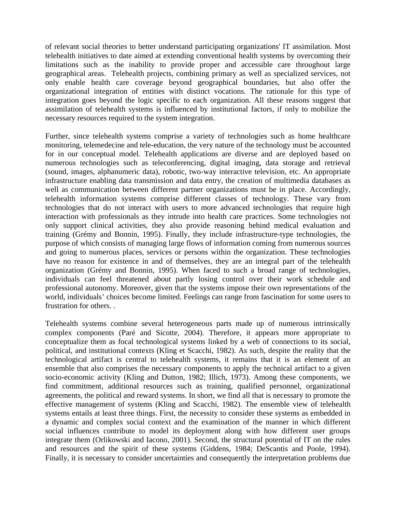of relevant social theories to better understand participating organizations' IT assimilation. Most telehealth initiatives to date aimed at extending conventional health systems by overcoming their limitations such as the inability to provide proper and accessible care throughout large geographical areas. Telehealth projects, combining primary as well as specialized services, not only enable health care coverage beyond geographical boundaries, but also offer the organizational integration of entities with distinct vocations. The rationale for this type of integration goes beyond the logic specific to each organization. All these reasons suggest that assimilation of telehealth systems is influenced by institutional factors, if only to mobilize the necessary resources required to the system integration.

Further, since telehealth systems comprise a variety of technologies such as home healthcare monitoring, telemedecine and tele-education, the very nature of the technology must be accounted for in our conceptual model. Telehealth applications are diverse and are deployed based on numerous technologies such as teleconferencing, digital imaging, data storage and retrieval (sound, images, alphanumeric data), robotic, two-way interactive television, etc. An appropriate infrastructure enabling data transmission and data entry, the creation of multimedia databases as well as communication between different partner organizations must be in place. Accordingly, telehealth information systems comprise different classes of technology. These vary from technologies that do not interact with users to more advanced technologies that require high interaction with professionals as they intrude into health care practices. Some technologies not only support clinical activities, they also provide reasoning behind medical evaluation and training (Grémy and Bonnin, 1995). Finally, they include infrastructure-type technologies, the purpose of which consists of managing large flows of information coming from numerous sources and going to numerous places, services or persons within the organization. These technologies have no reason for existence in and of themselves, they are an integral part of the telehealth organization (Grémy and Bonnin, 1995). When faced to such a broad range of technologies, individuals can feel threatened about partly losing control over their work schedule and professional autonomy. Moreover, given that the systems impose their own representations of the world, individuals' choices become limited. Feelings can range from fascination for some users to frustration for others. .

Telehealth systems combine several heterogeneous parts made up of numerous intrinsically complex components (Paré and Sicotte, 2004). Therefore, it appears more appropriate to conceptualize them as focal technological systems linked by a web of connections to its social, political, and institutional contexts (Kling et Scacchi, 1982). As such, despite the reality that the technological artifact is central to telehealth systems, it remains that it is an element of an ensemble that also comprises the necessary components to apply the technical artifact to a given socio-economic activity (Kling and Dutton, 1982; Illich, 1973). Among these components, we find commitment, additional resources such as training, qualified personnel, organizational agreements, the political and reward systems. In short, we find all that is necessary to promote the effective management of systems (Kling and Scacchi, 1982). The ensemble view of telehealth systems entails at least three things. First, the necessity to consider these systems as embedded in a dynamic and complex social context and the examination of the manner in which different social influences contribute to model its deployment along with how different user groups integrate them (Orlikowski and Iacono, 2001). Second, the structural potential of IT on the rules and resources and the spirit of these systems (Giddens, 1984; DeScantis and Poole, 1994). Finally, it is necessary to consider uncertainties and consequently the interpretation problems due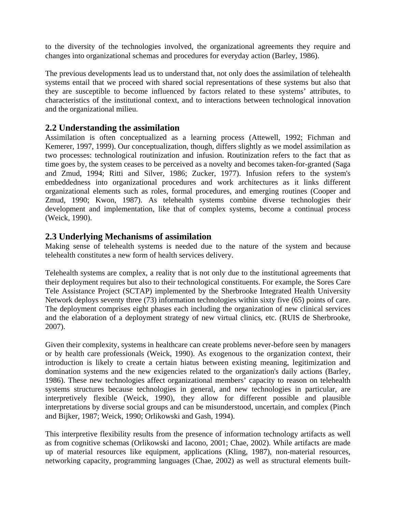to the diversity of the technologies involved, the organizational agreements they require and changes into organizational schemas and procedures for everyday action (Barley, 1986).

The previous developments lead us to understand that, not only does the assimilation of telehealth systems entail that we proceed with shared social representations of these systems but also that they are susceptible to become influenced by factors related to these systems' attributes, to characteristics of the institutional context, and to interactions between technological innovation and the organizational milieu.

#### **2.2 Understanding the assimilation**

Assimilation is often conceptualized as a learning process (Attewell, 1992; Fichman and Kemerer, 1997, 1999). Our conceptualization, though, differs slightly as we model assimilation as two processes: technological routinization and infusion. Routinization refers to the fact that as time goes by, the system ceases to be perceived as a novelty and becomes taken-for-granted (Saga and Zmud, 1994; Ritti and Silver, 1986; Zucker, 1977). Infusion refers to the system's embeddedness into organizational procedures and work architectures as it links different organizational elements such as roles, formal procedures, and emerging routines (Cooper and Zmud, 1990; Kwon, 1987). As telehealth systems combine diverse technologies their development and implementation, like that of complex systems, become a continual process (Weick, 1990).

#### **2.3 Underlying Mechanisms of assimilation**

Making sense of telehealth systems is needed due to the nature of the system and because telehealth constitutes a new form of health services delivery.

Telehealth systems are complex, a reality that is not only due to the institutional agreements that their deployment requires but also to their technological constituents. For example, the Sores Care Tele Assistance Project (SCTAP) implemented by the Sherbrooke Integrated Health University Network deploys seventy three (73) information technologies within sixty five (65) points of care. The deployment comprises eight phases each including the organization of new clinical services and the elaboration of a deployment strategy of new virtual clinics, etc. (RUIS de Sherbrooke, 2007).

Given their complexity, systems in healthcare can create problems never-before seen by managers or by health care professionals (Weick, 1990). As exogenous to the organization context, their introduction is likely to create a certain hiatus between existing meaning, legitimization and domination systems and the new exigencies related to the organization's daily actions (Barley, 1986). These new technologies affect organizational members' capacity to reason on telehealth systems structures because technologies in general, and new technologies in particular, are interpretively flexible (Weick, 1990), they allow for different possible and plausible interpretations by diverse social groups and can be misunderstood, uncertain, and complex (Pinch and Bijker, 1987; Weick, 1990; Orlikowski and Gash, 1994).

This interpretive flexibility results from the presence of information technology artifacts as well as from cognitive schemas (Orlikowski and Iacono, 2001; Chae, 2002). While artifacts are made up of material resources like equipment, applications (Kling, 1987), non-material resources, networking capacity, programming languages (Chae, 2002) as well as structural elements built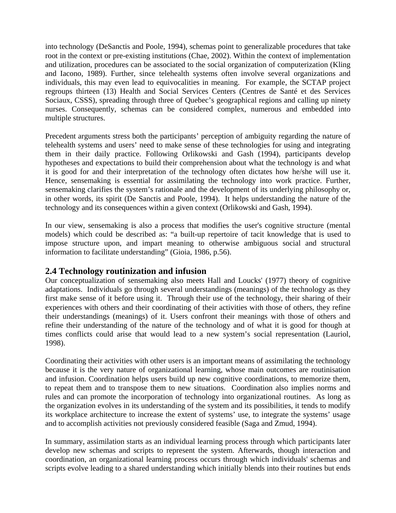into technology (DeSanctis and Poole, 1994), schemas point to generalizable procedures that take root in the context or pre-existing institutions (Chae, 2002). Within the context of implementation and utilization, procedures can be associated to the social organization of computerization (Kling and Iacono, 1989). Further, since telehealth systems often involve several organizations and individuals, this may even lead to equivocalities in meaning. For example, the SCTAP project regroups thirteen (13) Health and Social Services Centers (Centres de Santé et des Services Sociaux, CSSS), spreading through three of Quebec's geographical regions and calling up ninety nurses. Consequently, schemas can be considered complex, numerous and embedded into multiple structures.

Precedent arguments stress both the participants' perception of ambiguity regarding the nature of telehealth systems and users' need to make sense of these technologies for using and integrating them in their daily practice. Following Orlikowski and Gash (1994), participants develop hypotheses and expectations to build their comprehension about what the technology is and what it is good for and their interpretation of the technology often dictates how he/she will use it. Hence, sensemaking is essential for assimilating the technology into work practice. Further, sensemaking clarifies the system's rationale and the development of its underlying philosophy or, in other words, its spirit (De Sanctis and Poole, 1994). It helps understanding the nature of the technology and its consequences within a given context (Orlikowski and Gash, 1994).

In our view, sensemaking is also a process that modifies the user's cognitive structure (mental models) which could be described as: "a built-up repertoire of tacit knowledge that is used to impose structure upon, and impart meaning to otherwise ambiguous social and structural information to facilitate understanding" (Gioia, 1986, p.56).

#### **2.4 Technology routinization and infusion**

Our conceptualization of sensemaking also meets Hall and Loucks' (1977) theory of cognitive adaptations. Individuals go through several understandings (meanings) of the technology as they first make sense of it before using it. Through their use of the technology, their sharing of their experiences with others and their coordinating of their activities with those of others, they refine their understandings (meanings) of it. Users confront their meanings with those of others and refine their understanding of the nature of the technology and of what it is good for though at times conflicts could arise that would lead to a new system's social representation (Lauriol, 1998).

Coordinating their activities with other users is an important means of assimilating the technology because it is the very nature of organizational learning, whose main outcomes are routinisation and infusion. Coordination helps users build up new cognitive coordinations, to memorize them, to repeat them and to transpose them to new situations. Coordination also implies norms and rules and can promote the incorporation of technology into organizational routines. As long as the organization evolves in its understanding of the system and its possibilities, it tends to modify its workplace architecture to increase the extent of systems' use, to integrate the systems' usage and to accomplish activities not previously considered feasible (Saga and Zmud, 1994).

In summary, assimilation starts as an individual learning process through which participants later develop new schemas and scripts to represent the system. Afterwards, though interaction and coordination, an organizational learning process occurs through which individuals' schemas and scripts evolve leading to a shared understanding which initially blends into their routines but ends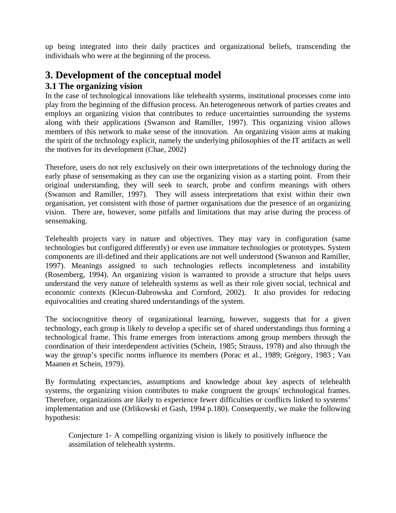up being integrated into their daily practices and organizational beliefs, transcending the individuals who were at the beginning of the process.

## **3. Development of the conceptual model**

#### **3.1 The organizing vision**

In the case of technological innovations like telehealth systems, institutional processes come into play from the beginning of the diffusion process. An heterogeneous network of parties creates and employs an organizing vision that contributes to reduce uncertainties surrounding the systems along with their applications (Swanson and Ramiller, 1997). This organizing vision allows members of this network to make sense of the innovation. An organizing vision aims at making the spirit of the technology explicit, namely the underlying philosophies of the IT artifacts as well the motives for its development (Chae, 2002)

Therefore, users do not rely exclusively on their own interpretations of the technology during the early phase of sensemaking as they can use the organizing vision as a starting point. From their original understanding, they will seek to search, probe and confirm meanings with others (Swanson and Ramiller, 1997). They will assess interpretations that exist within their own organisation, yet consistent with those of partner organisations due the presence of an organizing vision. There are, however, some pitfalls and limitations that may arise during the process of sensemaking.

Telehealth projects vary in nature and objectives. They may vary in configuration (same technologies but configured differently) or even use immature technologies or prototypes. System components are ill-defined and their applications are not well understood (Swanson and Ramiller, 1997). Meanings assigned to such technologies reflects incompleteness and instability (Rosemberg, 1994). An organizing vision is warranted to provide a structure that helps users understand the very nature of telehealth systems as well as their role given social, technical and economic contexts (Klecun-Dabrowska and Cornford, 2002). It also provides for reducing equivocalities and creating shared understandings of the system.

The sociocognitive theory of organizational learning, however, suggests that for a given technology, each group is likely to develop a specific set of shared understandings thus forming a technological frame. This frame emerges from interactions among group members through the coordination of their interdependent activities (Schein, 1985; Strauss, 1978) and also through the way the group's specific norms influence its members (Porac et al., 1989; Grégory, 1983 ; Van Maanen et Schein, 1979).

By formulating expectancies, assumptions and knowledge about key aspects of telehealth systems, the organizing vision contributes to make congruent the groups' technological frames. Therefore, organizations are likely to experience fewer difficulties or conflicts linked to systems' implementation and use (Orlikowski et Gash, 1994 p.180). Consequently, we make the following hypothesis:

Conjecture 1- A compelling organizing vision is likely to positively influence the assimilation of telehealth systems.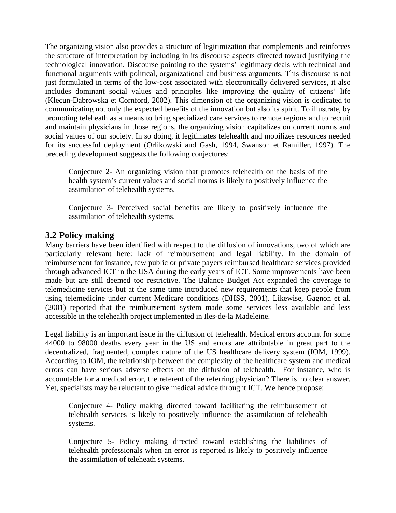The organizing vision also provides a structure of legitimization that complements and reinforces the structure of interpretation by including in its discourse aspects directed toward justifying the technological innovation. Discourse pointing to the systems' legitimacy deals with technical and functional arguments with political, organizational and business arguments. This discourse is not just formulated in terms of the low-cost associated with electronically delivered services, it also includes dominant social values and principles like improving the quality of citizens' life (Klecun-Dabrowska et Cornford, 2002). This dimension of the organizing vision is dedicated to communicating not only the expected benefits of the innovation but also its spirit. To illustrate, by promoting teleheath as a means to bring specialized care services to remote regions and to recruit and maintain physicians in those regions, the organizing vision capitalizes on current norms and social values of our society. In so doing, it legitimates telehealth and mobilizes resources needed for its successful deployment (Orlikowski and Gash, 1994, Swanson et Ramiller, 1997). The preceding development suggests the following conjectures:

Conjecture 2- An organizing vision that promotes telehealth on the basis of the health system's current values and social norms is likely to positively influence the assimilation of telehealth systems.

Conjecture 3- Perceived social benefits are likely to positively influence the assimilation of telehealth systems.

#### **3.2 Policy making**

Many barriers have been identified with respect to the diffusion of innovations, two of which are particularly relevant here: lack of reimbursement and legal liability. In the domain of reimbursement for instance, few public or private payers reimbursed healthcare services provided through advanced ICT in the USA during the early years of ICT. Some improvements have been made but are still deemed too restrictive. The Balance Budget Act expanded the coverage to telemedicine services but at the same time introduced new requirements that keep people from using telemedicine under current Medicare conditions (DHSS, 2001). Likewise, Gagnon et al. (2001) reported that the reimbursement system made some services less available and less accessible in the telehealth project implemented in Iles-de-la Madeleine.

Legal liability is an important issue in the diffusion of telehealth. Medical errors account for some 44000 to 98000 deaths every year in the US and errors are attributable in great part to the decentralized, fragmented, complex nature of the US healthcare delivery system (IOM, 1999). According to IOM, the relationship between the complexity of the healthcare system and medical errors can have serious adverse effects on the diffusion of telehealth. For instance, who is accountable for a medical error, the referent of the referring physician? There is no clear answer. Yet, specialists may be reluctant to give medical advice throught ICT. We hence propose:

Conjecture 4- Policy making directed toward facilitating the reimbursement of telehealth services is likely to positively influence the assimilation of telehealth systems.

Conjecture 5- Policy making directed toward establishing the liabilities of telehealth professionals when an error is reported is likely to positively influence the assimilation of teleheath systems.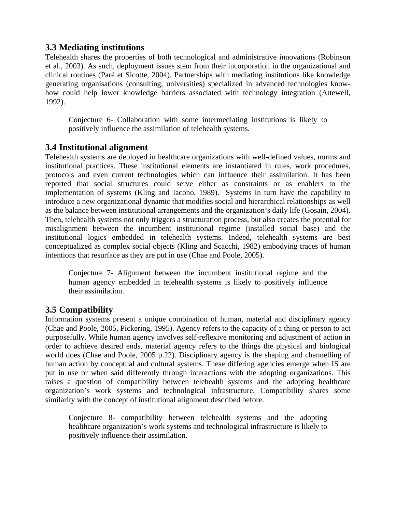#### **3.3 Mediating institutions**

Telehealth shares the properties of both technological and administrative innovations (Robinson et al., 2003). As such, deployment issues stem from their incorporation in the organizational and clinical routines (Paré et Sicotte, 2004). Partnerships with mediating institutions like knowledge generating organisations (consulting, universities) specialized in advanced technologies knowhow could help lower knowledge barriers associated with technology integration (Attewell, 1992).

Conjecture 6- Collaboration with some intermediating institutions is likely to positively influence the assimilation of telehealth systems.

#### **3.4 Institutional alignment**

Telehealth systems are deployed in healthcare organizations with well-defined values, norms and institutional practices. These institutional elements are instantiated in rules, work procedures, protocols and even current technologies which can influence their assimilation. It has been reported that social structures could serve either as constraints or as enablers to the implementation of systems (Kling and Iacono, 1989). Systems in turn have the capability to introduce a new organizational dynamic that modifies social and hierarchical relationships as well as the balance between institutional arrangements and the organization's daily life (Gosain, 2004). Then, telehealth systems not only triggers a structuration process, but also creates the potential for misalignment between the incumbent institutional regime (installed social base) and the institutional logics embedded in telehealth systems. Indeed, telehealth systems are best conceptualized as complex social objects (Kling and Scacchi, 1982) embodying traces of human intentions that resurface as they are put in use (Chae and Poole, 2005).

Conjecture 7- Alignment between the incumbent institutional regime and the human agency embedded in telehealth systems is likely to positively influence their assimilation.

#### **3.5 Compatibility**

Information systems present a unique combination of human, material and disciplinary agency (Chae and Poole, 2005, Pickering, 1995). Agency refers to the capacity of a thing or person to act purposefully. While human agency involves self-reflexive monitoring and adjustment of action in order to achieve desired ends, material agency refers to the things the physical and biological world does (Chae and Poole, 2005 p.22). Disciplinary agency is the shaping and channelling of human action by conceptual and cultural systems. These differing agencies emerge when IS are put in use or when said differently through interactions with the adopting organizations. This raises a question of compatibility between telehealth systems and the adopting healthcare organization's work systems and technological infrastructure. Compatibility shares some similarity with the concept of institutional alignment described before.

Conjecture 8- compatibility between telehealth systems and the adopting healthcare organization's work systems and technological infrastructure is likely to positively influence their assimilation.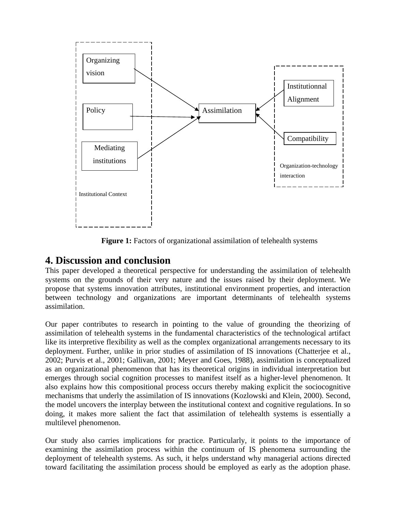

**Figure 1:** Factors of organizational assimilation of telehealth systems

## **4. Discussion and conclusion**

This paper developed a theoretical perspective for understanding the assimilation of telehealth systems on the grounds of their very nature and the issues raised by their deployment. We propose that systems innovation attributes, institutional environment properties, and interaction between technology and organizations are important determinants of telehealth systems assimilation.

Our paper contributes to research in pointing to the value of grounding the theorizing of assimilation of telehealth systems in the fundamental characteristics of the technological artifact like its interpretive flexibility as well as the complex organizational arrangements necessary to its deployment. Further, unlike in prior studies of assimilation of IS innovations (Chatterjee et al., 2002; Purvis et al., 2001; Gallivan, 2001; Meyer and Goes, 1988), assimilation is conceptualized as an organizational phenomenon that has its theoretical origins in individual interpretation but emerges through social cognition processes to manifest itself as a higher-level phenomenon. It also explains how this compositional process occurs thereby making explicit the sociocognitive mechanisms that underly the assimilation of IS innovations (Kozlowski and Klein, 2000). Second, the model uncovers the interplay between the institutional context and cognitive regulations. In so doing, it makes more salient the fact that assimilation of telehealth systems is essentially a multilevel phenomenon.

Our study also carries implications for practice. Particularly, it points to the importance of examining the assimilation process within the continuum of IS phenomena surrounding the deployment of telehealth systems. As such, it helps understand why managerial actions directed toward facilitating the assimilation process should be employed as early as the adoption phase.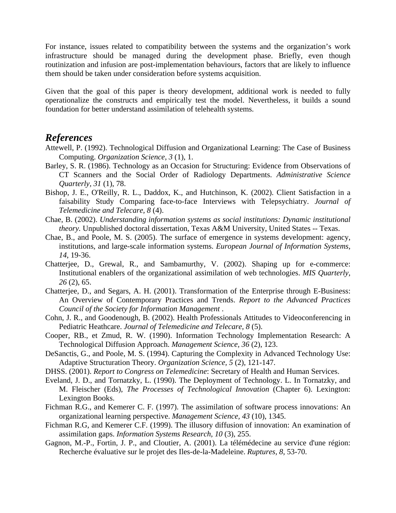For instance, issues related to compatibility between the systems and the organization's work infrastructure should be managed during the development phase. Briefly, even though routinization and infusion are post-implementation behaviours, factors that are likely to influence them should be taken under consideration before systems acquisition.

Given that the goal of this paper is theory development, additional work is needed to fully operationalize the constructs and empirically test the model. Nevertheless, it builds a sound foundation for better understand assimilation of telehealth systems.

#### *References*

- Attewell, P. (1992). Technological Diffusion and Organizational Learning: The Case of Business Computing. *Organization Science, 3* (1), 1.
- Barley, S. R. (1986). Technology as an Occasion for Structuring: Evidence from Observations of CT Scanners and the Social Order of Radiology Departments. *Administrative Science Quarterly, 31* (1), 78.
- Bishop, J. E., O'Reilly, R. L., Daddox, K., and Hutchinson, K. (2002). Client Satisfaction in a faisability Study Comparing face-to-face Interviews with Telepsychiatry. *Journal of Telemedicine and Telecare, 8* (4).
- Chae, B. (2002). *Understanding information systems as social institutions: Dynamic institutional theory.* Unpublished doctoral dissertation, Texas A&M University, United States -- Texas.
- Chae, B., and Poole, M. S. (2005). The surface of emergence in systems development: agency, institutions, and large-scale information systems. *European Journal of Information Systems, 14*, 19-36.
- Chatterjee, D., Grewal, R., and Sambamurthy, V. (2002). Shaping up for e-commerce: Institutional enablers of the organizational assimilation of web technologies. *MIS Quarterly, 26* (2), 65.
- Chatterjee, D., and Segars, A. H. (2001). Transformation of the Enterprise through E-Business: An Overview of Contemporary Practices and Trends. *Report to the Advanced Practices Council of the Society for Information Management* .
- Cohn, J. R., and Goodenough, B. (2002). Health Professionals Attitudes to Videoconferencing in Pediatric Heathcare. *Journal of Telemedicine and Telecare, 8* (5).
- Cooper, RB., et Zmud, R. W. (1990). Information Technology Implementation Research: A Technological Diffusion Approach. *Management Science, 36* (2), 123.
- DeSanctis, G., and Poole, M. S. (1994). Capturing the Complexity in Advanced Technology Use: Adaptive Structuration Theory. *Organization Science, 5* (2), 121-147.
- DHSS. (2001). *Report to Congress on Telemedicine*: Secretary of Health and Human Services.
- Eveland, J. D., and Tornatzky, L. (1990). The Deployment of Technology. L. In Tornatzky, and M. Fleischer (Eds), *The Processes of Technological Innovation* (Chapter 6). Lexington: Lexington Books.
- Fichman R.G., and Kemerer C. F. (1997). The assimilation of software process innovations: An organizational learning perspective. *Management Science, 43* (10), 1345.
- Fichman R.G, and Kemerer C.F. (1999). The illusory diffusion of innovation: An examination of assimilation gaps. *Information Systems Research, 10* (3), 255.
- Gagnon, M.-P., Fortin, J. P., and Cloutier, A. (2001). La télémédecine au service d'une région: Recherche évaluative sur le projet des Iles-de-la-Madeleine. *Ruptures, 8*, 53-70.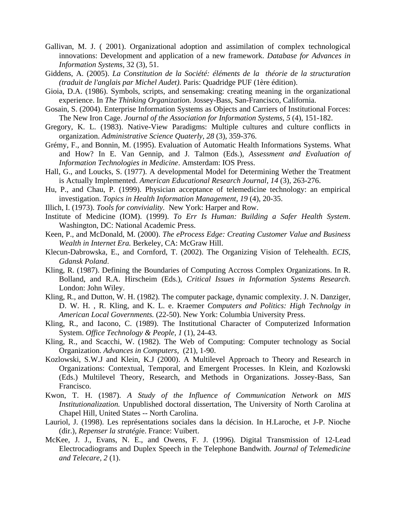- Gallivan, M. J. ( 2001). Organizational adoption and assimilation of complex technological innovations: Development and application of a new framework. *Database for Advances in Information Systems,* 32 (3), 51.
- Giddens, A. (2005). *La Constitution de la Société: éléments de la théorie de la structuration (traduit de l'anglais par Michel Audet)*. Paris: Quadridge PUF (1ère édition).
- Gioia, D.A. (1986). Symbols, scripts, and sensemaking: creating meaning in the organizational experience. In *The Thinking Organization.* Jossey-Bass, San-Francisco, California.
- Gosain, S. (2004). Enterprise Information Systems as Objects and Carriers of Institutional Forces: The New Iron Cage. *Journal of the Association for Information Systems, 5* (4), 151-182.
- Gregory, K. L. (1983). Native-View Paradigms: Multiple cultures and culture conflicts in organization. *Administrative Science Quaterly, 28* (3), 359-376.
- Grémy, F., and Bonnin, M. (1995). Evaluation of Automatic Health Informations Systems. What and How? In E. Van Gennip, and J. Talmon (Eds.), *Assessment and Evaluation of Information Technologies in Medicine*. Amsterdam: IOS Press.
- Hall, G., and Loucks, S. (1977). A developmental Model for Determining Wether the Treatment is Actually Implemented. *American Educational Research Journal, 14* (3), 263-276.
- Hu, P., and Chau, P. (1999). Physician acceptance of telemedicine technology: an empirical investigation. *Topics in Health Information Management, 19* (4), 20-35.
- Illich, I. (1973). *Tools for conviviality.* New York: Harper and Row.
- Institute of Medicine (IOM). (1999). *To Err Is Human: Building a Safer Health System*. Washington, DC: National Academic Press.
- Keen, P., and McDonald, M. (2000). *The eProcess Edge: Creating Customer Value and Business Wealth in Internet Era.* Berkeley, CA: McGraw Hill.
- Klecun-Dabrowska, E., and Cornford, T. (2002). The Organizing Vision of Telehealth. *ECIS, Gdansk Poland*.
- Kling, R. (1987). Defining the Boundaries of Computing Accross Complex Organizations. In R. Bolland, and R.A. Hirscheim (Eds.), *Critical Issues in Information Systems Research*. London: John Wiley.
- Kling, R., and Dutton, W. H. (1982). The computer package, dynamic complexity. J. N. Danziger, D. W. H. , R. Kling, and K. L. e. Kraemer *Computers and Politics: High Technolgy in American Local Governments.* (22-50). New York: Columbia University Press.
- Kling, R., and Iacono, C. (1989). The Institutional Character of Computerized Information System. *Office Technology & People, 1* (1), 24-43.
- Kling, R., and Scacchi, W. (1982). The Web of Computing: Computer technology as Social Organization. *Advances in Computers,* (21), 1-90.
- Kozlowski, S.W.J and Klein, K.J (2000). A Multilevel Approach to Theory and Research in Organizations: Contextual, Temporal, and Emergent Processes. In Klein, and Kozlowski (Eds.) Multilevel Theory, Research, and Methods in Organizations. Jossey-Bass, San Francisco.
- Kwon, T. H. (1987). *A Study of the Influence of Communication Network on MIS Institutionalization.* Unpublished doctoral dissertation, The University of North Carolina at Chapel Hill, United States -- North Carolina.
- Lauriol, J. (1998). Les représentations sociales dans la décision. In H.Laroche, et J-P. Nioche (dir.), *Repenser la stratégi*e. France: Vuibert.
- McKee, J. J., Evans, N. E., and Owens, F. J. (1996). Digital Transmission of 12-Lead Electrocadiograms and Duplex Speech in the Telephone Bandwith. *Journal of Telemedicine and Telecare, 2* (1).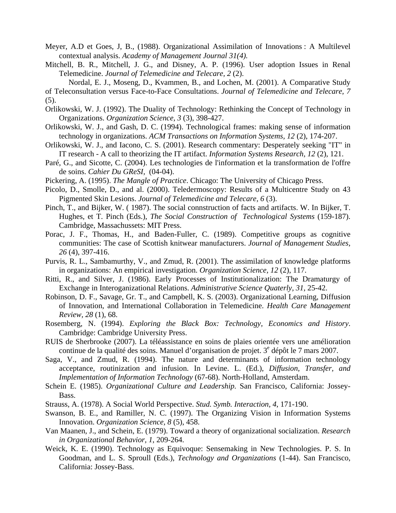- Meyer, A.D et Goes, J, B., (1988). Organizational Assimilation of Innovations : A Multilevel contextual analysis. *Academy of Management Journal 31(4).*
- Mitchell, B. R., Mitchell, J. G., and Disney, A. P. (1996). User adoption Issues in Renal Telemedicine. *Journal of Telemedicine and Telecare, 2* (2).

Nordal, E. J., Moseng, D., Kvammen, B., and Lochen, M. (2001). A Comparative Study of Teleconsultation versus Face-to-Face Consultations. *Journal of Telemedicine and Telecare, 7* 

 $(5)$ .

- Orlikowski, W. J. (1992). The Duality of Technology: Rethinking the Concept of Technology in Organizations. *Organization Science, 3* (3), 398-427.
- Orlikowski, W. J., and Gash, D. C. (1994). Technological frames: making sense of information technology in organizations. *ACM Transactions on Information Systems, 12* (2), 174-207.
- Orlikowski, W. J., and Iacono, C. S. (2001). Research commentary: Desperately seeking "IT" in IT research - A call to theorizing the IT artifact. *Information Systems Research, 12* (2), 121.
- Paré, G., and Sicotte, C. (2004). Les technologies de l'information et la transformation de l'offre de soins. *Cahier Du GReSI,* (04-04).
- Pickering, A. (1995). *The Mangle of Practice*. Chicago: The University of Chicago Press.
- Picolo, D., Smolle, D., and al. (2000). Teledermoscopy: Results of a Multicentre Study on 43 Pigmented Skin Lesions. *Journal of Telemedicine and Telecare, 6* (3).
- Pinch, T., and Bijker, W. ( 1987). The social connstruction of facts and artifacts. W. In Bijker, T. Hughes, et T. Pinch (Eds.), *The Social Construction of Technological Systems* (159-187). Cambridge, Massachussets: MIT Press.
- Porac, J. F., Thomas, H., and Baden-Fuller, C. (1989). Competitive groups as cognitive communities: The case of Scottish knitwear manufacturers. *Journal of Management Studies, 26* (4), 397-416.
- Purvis, R. L., Sambamurthy, V., and Zmud, R. (2001). The assimilation of knowledge platforms in organizations: An empirical investigation. *Organization Science, 12* (2), 117.
- Ritti, R., and Silver, J. (1986). Early Processes of Institutionalization: The Dramaturgy of Exchange in Interoganizational Relations. *Administrative Science Quaterly, 31*, 25-42.
- Robinson, D. F., Savage, Gr. T., and Campbell, K. S. (2003). Organizational Learning, Diffusion of Innovation, and International Collaboration in Telemedicine. *Health Care Management Review, 28* (1), 68.
- Rosemberg, N. (1994). *Exploring the Black Box: Technology, Economics and History*. Cambridge: Cambridge University Press.
- RUIS de Sherbrooke (2007). La téléassistance en soins de plaies orientée vers une amélioration continue de la qualité des soins. Manuel d'organisation de projet.  $3^e$  dépôt le 7 mars 2007.
- Saga, V., and Zmud, R. (1994). The nature and determinants of information technology acceptance, routinization and infusion. In Levine. L. (Ed.), *Diffusion, Transfer, and Implementation of Information Technology* (67-68). North-Holland, Amsterdam.
- Schein E. (1985). *Organizational Culture and Leadership*. San Francisco, California: Jossey-Bass.
- Strauss, A. (1978). A Social World Perspective. *Stud. Symb. Interaction, 4*, 171-190.
- Swanson, B. E., and Ramiller, N. C. (1997). The Organizing Vision in Information Systems Innovation. *Organization Science, 8* (5), 458.
- Van Maanen, J., and Schein, E. (1979). Toward a theory of organizational socialization. *Research in Organizational Behavior, 1*, 209-264.
- Weick, K. E. (1990). Technology as Equivoque: Sensemaking in New Technologies. P. S. In Goodman, and L. S. Sproull (Eds.), *Technology and Organizations* (1-44). San Francisco, California: Jossey-Bass.